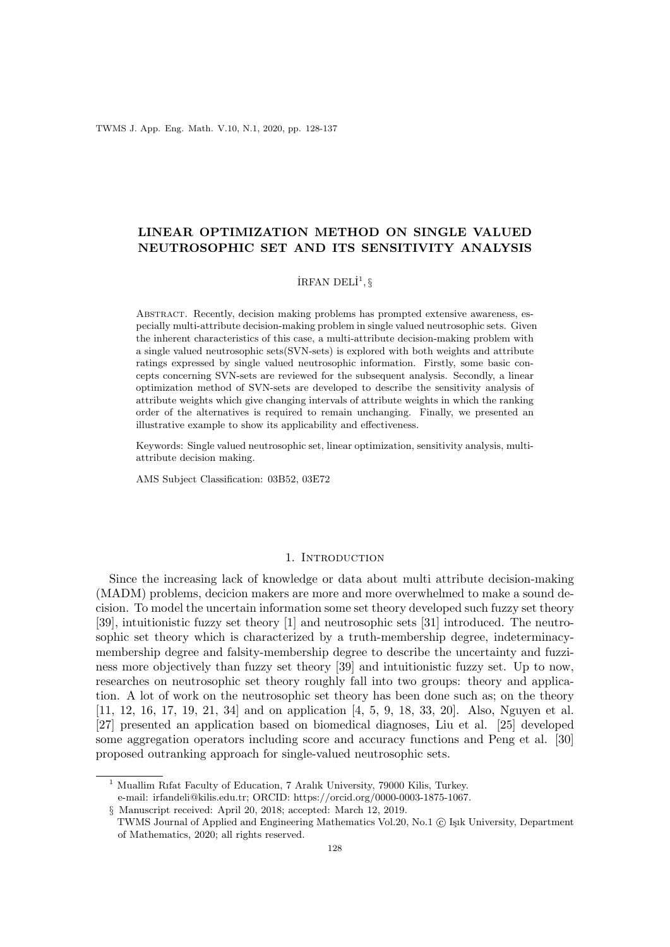TWMS J. App. Eng. Math. V.10, N.1, 2020, pp. 128-137

# LINEAR OPTIMIZATION METHOD ON SINGLE VALUED NEUTROSOPHIC SET AND ITS SENSITIVITY ANALYSIS

## İRFAN DELİ $^1, \S$

ABSTRACT. Recently, decision making problems has prompted extensive awareness, especially multi-attribute decision-making problem in single valued neutrosophic sets. Given the inherent characteristics of this case, a multi-attribute decision-making problem with a single valued neutrosophic sets(SVN-sets) is explored with both weights and attribute ratings expressed by single valued neutrosophic information. Firstly, some basic concepts concerning SVN-sets are reviewed for the subsequent analysis. Secondly, a linear optimization method of SVN-sets are developed to describe the sensitivity analysis of attribute weights which give changing intervals of attribute weights in which the ranking order of the alternatives is required to remain unchanging. Finally, we presented an illustrative example to show its applicability and effectiveness.

Keywords: Single valued neutrosophic set, linear optimization, sensitivity analysis, multiattribute decision making.

AMS Subject Classification: 03B52, 03E72

### 1. INTRODUCTION

Since the increasing lack of knowledge or data about multi attribute decision-making (MADM) problems, decicion makers are more and more overwhelmed to make a sound decision. To model the uncertain information some set theory developed such fuzzy set theory [39], intuitionistic fuzzy set theory [1] and neutrosophic sets [31] introduced. The neutrosophic set theory which is characterized by a truth-membership degree, indeterminacymembership degree and falsity-membership degree to describe the uncertainty and fuzziness more objectively than fuzzy set theory [39] and intuitionistic fuzzy set. Up to now, researches on neutrosophic set theory roughly fall into two groups: theory and application. A lot of work on the neutrosophic set theory has been done such as; on the theory [11, 12, 16, 17, 19, 21, 34] and on application [4, 5, 9, 18, 33, 20]. Also, Nguyen et al. [27] presented an application based on biomedical diagnoses, Liu et al. [25] developed some aggregation operators including score and accuracy functions and Peng et al. [30] proposed outranking approach for single-valued neutrosophic sets.

<sup>&</sup>lt;sup>1</sup> Muallim Rifat Faculty of Education, 7 Aralık University, 79000 Kilis, Turkey. e-mail: irfandeli@kilis.edu.tr; ORCID: https://orcid.org/0000-0003-1875-1067.

<sup>§</sup> Manuscript received: April 20, 2018; accepted: March 12, 2019.

TWMS Journal of Applied and Engineering Mathematics Vol.20, No.1 (C) Işık University, Department of Mathematics, 2020; all rights reserved.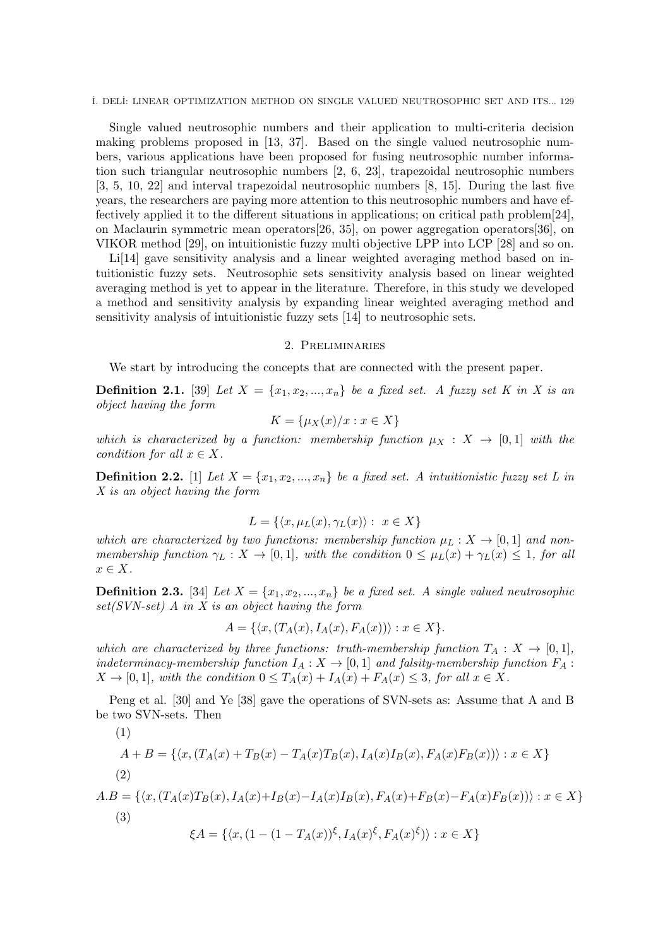˙I. DEL˙I: LINEAR OPTIMIZATION METHOD ON SINGLE VALUED NEUTROSOPHIC SET AND ITS... 129

Single valued neutrosophic numbers and their application to multi-criteria decision making problems proposed in [13, 37]. Based on the single valued neutrosophic numbers, various applications have been proposed for fusing neutrosophic number information such triangular neutrosophic numbers [2, 6, 23], trapezoidal neutrosophic numbers [3, 5, 10, 22] and interval trapezoidal neutrosophic numbers [8, 15]. During the last five years, the researchers are paying more attention to this neutrosophic numbers and have effectively applied it to the different situations in applications; on critical path problem[24], on Maclaurin symmetric mean operators[26, 35], on power aggregation operators[36], on VIKOR method [29], on intuitionistic fuzzy multi objective LPP into LCP [28] and so on.

Li<sup>[14]</sup> gave sensitivity analysis and a linear weighted averaging method based on intuitionistic fuzzy sets. Neutrosophic sets sensitivity analysis based on linear weighted averaging method is yet to appear in the literature. Therefore, in this study we developed a method and sensitivity analysis by expanding linear weighted averaging method and sensitivity analysis of intuitionistic fuzzy sets [14] to neutrosophic sets.

#### 2. Preliminaries

We start by introducing the concepts that are connected with the present paper.

**Definition 2.1.** [39] Let  $X = \{x_1, x_2, ..., x_n\}$  be a fixed set. A fuzzy set K in X is an object having the form

$$
K = \{\mu_X(x)/x : x \in X\}
$$

which is characterized by a function: membership function  $\mu_X : X \to [0,1]$  with the condition for all  $x \in X$ .

**Definition 2.2.** [1] Let  $X = \{x_1, x_2, ..., x_n\}$  be a fixed set. A intuitionistic fuzzy set L in X is an object having the form

$$
L = \{ \langle x, \mu_L(x), \gamma_L(x) \rangle : x \in X \}
$$

which are characterized by two functions: membership function  $\mu_L : X \to [0,1]$  and nonmembership function  $\gamma_L : X \to [0,1]$ , with the condition  $0 \leq \mu_L(x) + \gamma_L(x) \leq 1$ , for all  $x \in X$ .

**Definition 2.3.** [34] Let  $X = \{x_1, x_2, ..., x_n\}$  be a fixed set. A single valued neutrosophic set(SVN-set) A in X is an object having the form

$$
A = \{ \langle x, (T_A(x), I_A(x), F_A(x)) \rangle : x \in X \}.
$$

which are characterized by three functions: truth-membership function  $T_A: X \to [0,1],$ indeterminacy-membership function  $I_A: X \to [0,1]$  and falsity-membership function  $F_A$ :  $X \to [0, 1]$ , with the condition  $0 \leq T_A(x) + I_A(x) + F_A(x) \leq 3$ , for all  $x \in X$ .

Peng et al. [30] and Ye [38] gave the operations of SVN-sets as: Assume that A and B be two SVN-sets. Then

(1)  
\n
$$
A + B = \{ \langle x, (T_A(x) + T_B(x) - T_A(x)T_B(x), I_A(x)I_B(x), F_A(x)F_B(x)) \rangle : x \in X \}
$$
\n(2)  
\n
$$
A.B = \{ \langle x, (T_A(x)T_B(x), I_A(x) + I_B(x) - I_A(x)I_B(x), F_A(x) + F_B(x) - F_A(x)F_B(x)) \rangle : x \in X \}
$$
\n(3)  
\n
$$
\xi A = \{ \langle x, (1 - (1 - T_A(x))^\xi, I_A(x)^\xi, F_A(x)^\xi) \rangle : x \in X \}
$$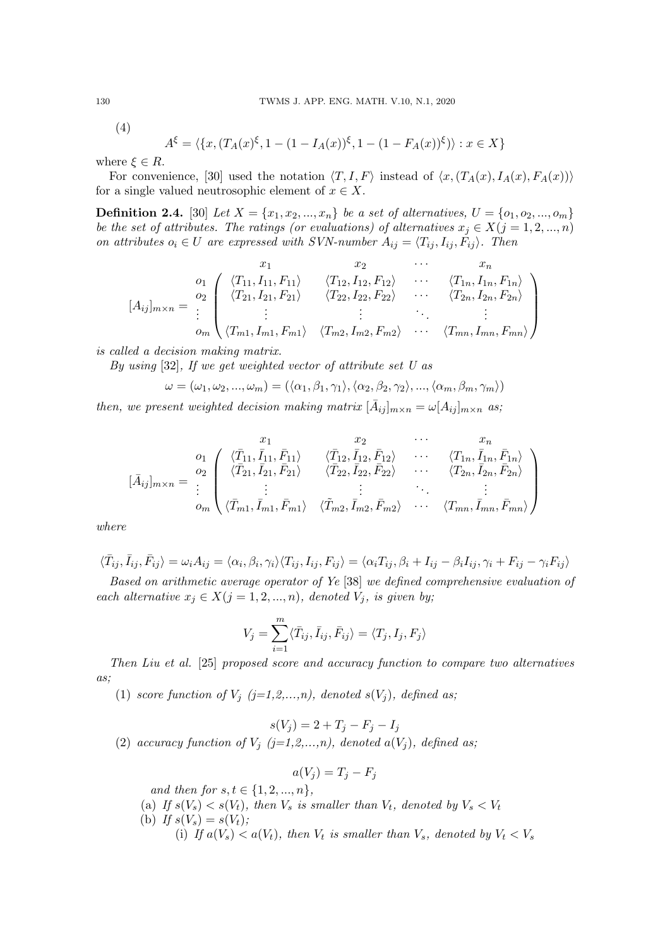(4)

$$
A^{\xi} = \langle \{x, (T_A(x)^{\xi}, 1 - (1 - I_A(x))^{\xi}, 1 - (1 - F_A(x))^{\xi}) \rangle : x \in X \}
$$

where  $\xi \in R$ .

For convenience, [30] used the notation  $\langle T, I, F \rangle$  instead of  $\langle x, (T_A(x), I_A(x), F_A(x)) \rangle$ for a single valued neutrosophic element of  $x \in X$ .

**Definition 2.4.** [30] Let  $X = \{x_1, x_2, ..., x_n\}$  be a set of alternatives,  $U = \{o_1, o_2, ..., o_m\}$ be the set of attributes. The ratings (or evaluations) of alternatives  $x_j \in X(j = 1, 2, ..., n)$ on attributes  $o_i \in U$  are expressed with SVN-number  $A_{ij} = \langle T_{ij}, I_{ij}, F_{ij} \rangle$ . Then

$$
[A_{ij}]_{m \times n} = \begin{pmatrix} x_1 & x_2 & \cdots & x_n \\ 0_1 & \langle T_{11}, I_{11}, F_{11} \rangle & \langle T_{12}, I_{12}, F_{12} \rangle & \cdots & \langle T_{1n}, I_{1n}, F_{1n} \rangle \\ \langle T_{21}, I_{21}, F_{21} \rangle & \langle T_{22}, I_{22}, F_{22} \rangle & \cdots & \langle T_{2n}, I_{2n}, F_{2n} \rangle \\ \vdots & \vdots & \ddots & \vdots \\ 0_m & \langle T_{m1}, I_{m1}, F_{m1} \rangle & \langle T_{m2}, I_{m2}, F_{m2} \rangle & \cdots & \langle T_{mn}, I_{mn}, F_{mn} \rangle \end{pmatrix}
$$

is called a decision making matrix.

By using [32], If we get weighted vector of attribute set U as

$$
\omega = (\omega_1, \omega_2, ..., \omega_m) = (\langle \alpha_1, \beta_1, \gamma_1 \rangle, \langle \alpha_2, \beta_2, \gamma_2 \rangle, ..., \langle \alpha_m, \beta_m, \gamma_m \rangle)
$$

then, we present weighted decision making matrix  $[\bar{A}_{ij}]_{m \times n} = \omega[A_{ij}]_{m \times n}$  as;

$$
[\bar{A}_{ij}]_{m \times n} = \begin{pmatrix} x_1 & x_2 & \cdots & x_n \\ 0_1 & \langle \bar{T}_{11}, \bar{I}_{11}, \bar{F}_{11} \rangle & \langle \bar{T}_{12}, \bar{I}_{12}, \bar{F}_{12} \rangle & \cdots & \langle T_{1n}, \bar{I}_{1n}, \bar{F}_{1n} \rangle \\ \langle \bar{T}_{21}, \bar{I}_{21}, \bar{F}_{21} \rangle & \langle \bar{T}_{22}, \bar{I}_{22}, \bar{F}_{22} \rangle & \cdots & \langle T_{2n}, \bar{I}_{2n}, \bar{F}_{2n} \rangle \\ \vdots & \vdots & \ddots & \vdots \\ 0_m & \langle \bar{T}_{m1}, \bar{I}_{m1}, \bar{F}_{m1} \rangle & \langle \tilde{T}_{m2}, \bar{I}_{m2}, \bar{F}_{m2} \rangle & \cdots & \langle T_{mn}, \bar{I}_{mn}, \bar{F}_{mn} \rangle \end{pmatrix}
$$

where

$$
\langle \bar{T}_{ij}, \bar{I}_{ij}, \bar{F}_{ij} \rangle = \omega_i A_{ij} = \langle \alpha_i, \beta_i, \gamma_i \rangle \langle T_{ij}, I_{ij}, F_{ij} \rangle = \langle \alpha_i T_{ij}, \beta_i + I_{ij} - \beta_i I_{ij}, \gamma_i + F_{ij} - \gamma_i F_{ij} \rangle
$$

Based on arithmetic average operator of Ye [38] we defined comprehensive evaluation of each alternative  $x_j \in X(j = 1, 2, ..., n)$ , denoted  $V_j$ , is given by;

$$
V_j = \sum_{i=1}^m \langle \bar{T}_{ij}, \bar{I}_{ij}, \bar{F}_{ij} \rangle = \langle T_j, I_j, F_j \rangle
$$

Then Liu et al. [25] proposed score and accuracy function to compare two alternatives as;

(1) score function of  $V_j$  (j=1,2,...,n), denoted  $s(V_j)$ , defined as;

$$
s(V_j) = 2 + T_j - F_j - I_j
$$

(2) accuracy function of  $V_j$  (j=1,2,...,n), denoted  $a(V_j)$ , defined as;

$$
a(V_j) = T_j - F_j
$$

and then for  $s, t \in \{1, 2, ..., n\},\$ (a) If  $s(V_s) < s(V_t)$ , then  $V_s$  is smaller than  $V_t$ , denoted by  $V_s < V_t$ (b) If  $s(V_s) = s(V_t)$ ; (i) If  $a(V_s) < a(V_t)$ , then  $V_t$  is smaller than  $V_s$ , denoted by  $V_t < V_s$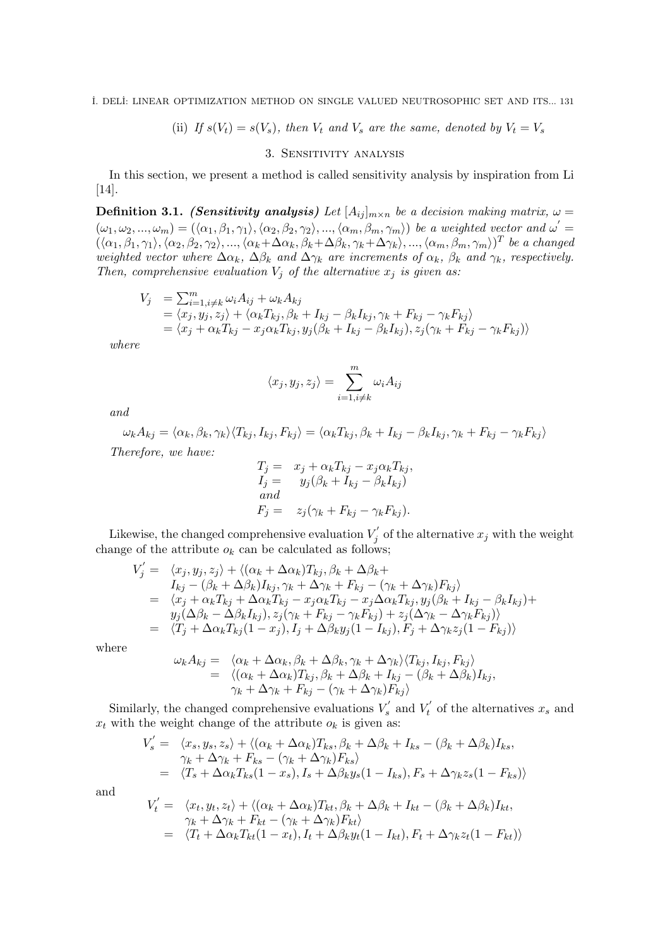˙I. DEL˙I: LINEAR OPTIMIZATION METHOD ON SINGLE VALUED NEUTROSOPHIC SET AND ITS... 131

(ii) If 
$$
s(V_t) = s(V_s)
$$
, then  $V_t$  and  $V_s$  are the same, denoted by  $V_t = V_s$ 

### 3. Sensitivity analysis

In this section, we present a method is called sensitivity analysis by inspiration from Li [14].

**Definition 3.1.** (Sensitivity analysis) Let  $[A_{ij}]_{m \times n}$  be a decision making matrix,  $\omega =$  $(\omega_1, \omega_2, ..., \omega_m) = (\langle \alpha_1, \beta_1, \gamma_1 \rangle, \langle \alpha_2, \beta_2, \gamma_2 \rangle, ..., \langle \alpha_m, \beta_m, \gamma_m \rangle)$  be a weighted vector and  $\omega' =$  $((\alpha_1, \beta_1, \gamma_1), \langle \alpha_2, \beta_2, \gamma_2 \rangle, ..., \langle \alpha_k + \Delta\alpha_k, \beta_k + \Delta\beta_k, \gamma_k + \Delta\gamma_k \rangle, ..., \langle \alpha_m, \beta_m, \gamma_m \rangle)^T$  be a changed weighted vector where  $\Delta \alpha_k$ ,  $\Delta \beta_k$  and  $\Delta \gamma_k$  are increments of  $\alpha_k$ ,  $\beta_k$  and  $\gamma_k$ , respectively. Then, comprehensive evaluation  $V_j$  of the alternative  $x_j$  is given as:

$$
V_j = \sum_{i=1, i \neq k}^{m} \omega_i A_{ij} + \omega_k A_{kj}
$$
  
=  $\langle x_j, y_j, z_j \rangle + \langle \alpha_k T_{kj}, \beta_k + I_{kj} - \beta_k I_{kj}, \gamma_k + F_{kj} - \gamma_k F_{kj} \rangle$   
=  $\langle x_j + \alpha_k T_{kj} - x_j \alpha_k T_{kj}, y_j (\beta_k + I_{kj} - \beta_k I_{kj}), z_j (\gamma_k + F_{kj} - \gamma_k F_{kj}) \rangle$ 

where

$$
\langle x_j, y_j, z_j \rangle = \sum_{i=1, i \neq k}^{m} \omega_i A_{ij}
$$

and

 $\omega_k A_{kj} = \langle \alpha_k, \beta_k, \gamma_k \rangle \langle T_{kj} , I_{kj} , F_{kj} \rangle = \langle \alpha_k T_{kj} , \beta_k + I_{kj} - \beta_k I_{kj} , \gamma_k + F_{kj} - \gamma_k F_{kj} \rangle$ Therefore, we have:

$$
T_j = x_j + \alpha_k T_{kj} - x_j \alpha_k T_{kj},
$$
  
\n
$$
I_j = y_j(\beta_k + I_{kj} - \beta_k I_{kj})
$$
  
\nand  
\n
$$
F_j = z_j(\gamma_k + F_{kj} - \gamma_k F_{kj}).
$$

Likewise, the changed comprehensive evaluation  $V_i'$  $\bar{y}'_j$  of the alternative  $x_j$  with the weight change of the attribute  $o_k$  can be calculated as follows;

$$
V'_{j} = \langle x_{j}, y_{j}, z_{j} \rangle + \langle (\alpha_{k} + \Delta \alpha_{k}) T_{kj}, \beta_{k} + \Delta \beta_{k} +
$$
  
\n
$$
I_{kj} - (\beta_{k} + \Delta \beta_{k}) I_{kj}, \gamma_{k} + \Delta \gamma_{k} + F_{kj} - (\gamma_{k} + \Delta \gamma_{k}) F_{kj} \rangle
$$
  
\n
$$
= \langle x_{j} + \alpha_{k} T_{kj} + \Delta \alpha_{k} T_{kj} - x_{j} \alpha_{k} T_{kj} - x_{j} \Delta \alpha_{k} T_{kj}, y_{j} (\beta_{k} + I_{kj} - \beta_{k} I_{kj}) +
$$
  
\n
$$
y_{j} (\Delta \beta_{k} - \Delta \beta_{k} I_{kj}), z_{j} (\gamma_{k} + F_{kj} - \gamma_{k} F_{kj}) + z_{j} (\Delta \gamma_{k} - \Delta \gamma_{k} F_{kj}) \rangle
$$
  
\n
$$
= \langle T_{j} + \Delta \alpha_{k} T_{kj} (1 - x_{j}), I_{j} + \Delta \beta_{k} y_{j} (1 - I_{kj}), F_{j} + \Delta \gamma_{k} z_{j} (1 - F_{kj}) \rangle
$$

where

$$
\nu_k A_{kj} = \langle \alpha_k + \Delta \alpha_k, \beta_k + \Delta \beta_k, \gamma_k + \Delta \gamma_k \rangle \langle T_{kj}, I_{kj}, F_{kj} \rangle \n= \langle (\alpha_k + \Delta \alpha_k) T_{kj}, \beta_k + \Delta \beta_k + I_{kj} - (\beta_k + \Delta \beta_k) I_{kj}, \n\gamma_k + \Delta \gamma_k + F_{kj} - (\gamma_k + \Delta \gamma_k) F_{kj} \rangle
$$

Similarly, the changed comprehensive evaluations  $V'_{s}$  and  $V'_{t}$  of the alternatives  $x_{s}$  and  $x_t$  with the weight change of the attribute  $o_k$  is given as:

$$
V'_{s} = \langle x_{s}, y_{s}, z_{s} \rangle + \langle (\alpha_{k} + \Delta \alpha_{k}) T_{ks}, \beta_{k} + \Delta \beta_{k} + I_{ks} - (\beta_{k} + \Delta \beta_{k}) I_{ks},
$$
  
\n
$$
\gamma_{k} + \Delta \gamma_{k} + F_{ks} - (\gamma_{k} + \Delta \gamma_{k}) F_{ks} \rangle
$$
  
\n
$$
= \langle T_{s} + \Delta \alpha_{k} T_{ks} (1 - x_{s}), I_{s} + \Delta \beta_{k} y_{s} (1 - I_{ks}), F_{s} + \Delta \gamma_{k} z_{s} (1 - F_{ks}) \rangle
$$

and

$$
V'_t = \langle x_t, y_t, z_t \rangle + \langle (\alpha_k + \Delta \alpha_k) T_{kt}, \beta_k + \Delta \beta_k + I_{kt} - (\beta_k + \Delta \beta_k) I_{kt},
$$
  
\n
$$
\gamma_k + \Delta \gamma_k + F_{kt} - (\gamma_k + \Delta \gamma_k) F_{kt} \rangle
$$
  
\n
$$
= \langle T_t + \Delta \alpha_k T_{kt} (1 - x_t), I_t + \Delta \beta_k y_t (1 - I_{kt}), F_t + \Delta \gamma_k z_t (1 - F_{kt}) \rangle
$$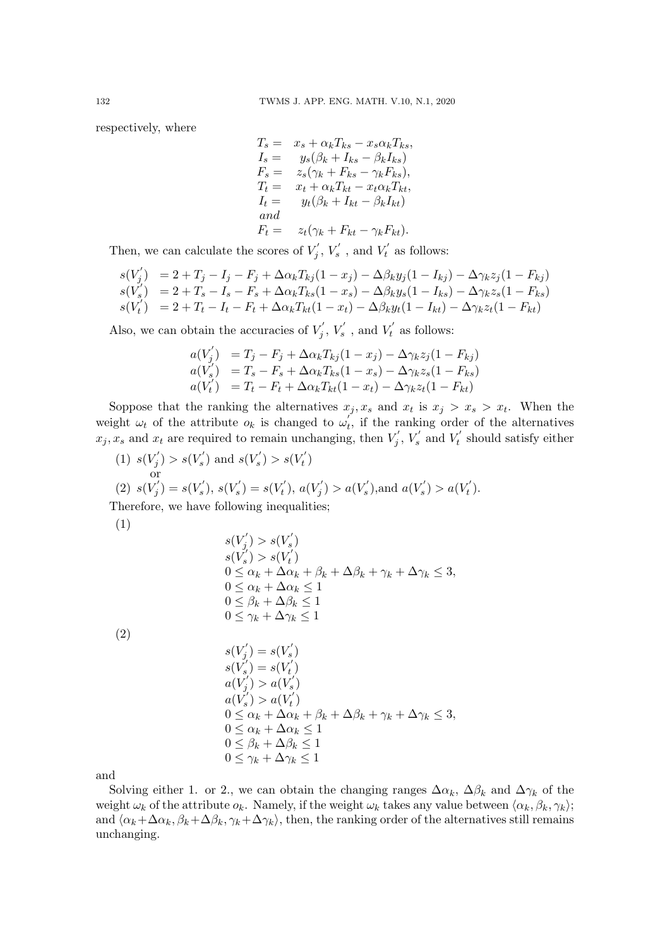respectively, where

$$
T_s = x_s + \alpha_k T_{ks} - x_s \alpha_k T_{ks},
$$
  
\n
$$
I_s = y_s(\beta_k + I_{ks} - \beta_k I_{ks})
$$
  
\n
$$
F_s = z_s(\gamma_k + F_{ks} - \gamma_k F_{ks}),
$$
  
\n
$$
T_t = x_t + \alpha_k T_{kt} - x_t \alpha_k T_{kt},
$$
  
\n
$$
I_t = y_t(\beta_k + I_{kt} - \beta_k I_{kt})
$$
  
\nand  
\n
$$
F_t = z_t(\gamma_k + F_{kt} - \gamma_k F_{kt}).
$$

Then, we can calculate the scores of  $V_i'$  $V'_j, V'_s$ , and  $V'_t$  as follows:

$$
s(V'_{j}) = 2 + T_{j} - I_{j} - F_{j} + \Delta \alpha_{k} T_{kj} (1 - x_{j}) - \Delta \beta_{k} y_{j} (1 - I_{kj}) - \Delta \gamma_{k} z_{j} (1 - F_{kj})
$$
  
\n
$$
s(V'_{s}) = 2 + T_{s} - I_{s} - F_{s} + \Delta \alpha_{k} T_{ks} (1 - x_{s}) - \Delta \beta_{k} y_{s} (1 - I_{ks}) - \Delta \gamma_{k} z_{s} (1 - F_{ks})
$$
  
\n
$$
s(V'_{t}) = 2 + T_{t} - I_{t} - F_{t} + \Delta \alpha_{k} T_{kt} (1 - x_{t}) - \Delta \beta_{k} y_{t} (1 - I_{kt}) - \Delta \gamma_{k} z_{t} (1 - F_{kt})
$$

Also, we can obtain the accuracies of  $V_i'$  $V'_j, V'_s$ , and  $V'_t$  as follows:

$$
a(V'_j) = T_j - F_j + \Delta \alpha_k T_{kj} (1 - x_j) - \Delta \gamma_k z_j (1 - F_{kj})
$$
  
\n
$$
a(V'_s) = T_s - F_s + \Delta \alpha_k T_{ks} (1 - x_s) - \Delta \gamma_k z_s (1 - F_{ks})
$$
  
\n
$$
a(V'_t) = T_t - F_t + \Delta \alpha_k T_{kt} (1 - x_t) - \Delta \gamma_k z_t (1 - F_{kt})
$$

Soppose that the ranking the alternatives  $x_j, x_s$  and  $x_t$  is  $x_j > x_s > x_t$ . When the weight  $\omega_t$  of the attribute  $o_k$  is changed to  $\omega_t$ , if the ranking order of the alternatives  $x_j, x_s$  and  $x_t$  are required to remain unchanging, then  $V'_j$  $V'_j, V'_s$  and  $V'_t$  should satisfy either

(1)  $s(V'_i)$  $s'(s') > s(V_s')$  and  $s(V_s') > s(V_t')$ or (2)  $s(V'_i)$  $s'_{j}) = s(V'_{s}), s(V'_{s}) = s(V'_{t}), a(V'_{j})$  $a(V'_{s})$ , and  $a(V'_{s}) > a(V'_{t})$ . Therefore, we have following inequalities;

$$
(1)
$$

$$
s(V'_{j}) > s(V'_{s})
$$
  
\n
$$
s(V'_{s}) > s(V'_{t})
$$
  
\n
$$
0 \leq \alpha_{k} + \Delta \alpha_{k} + \beta_{k} + \Delta \beta_{k} + \gamma_{k} + \Delta \gamma_{k} \leq 3,
$$
  
\n
$$
0 \leq \alpha_{k} + \Delta \alpha_{k} \leq 1
$$
  
\n
$$
0 \leq \beta_{k} + \Delta \beta_{k} \leq 1
$$
  
\n
$$
0 \leq \gamma_{k} + \Delta \gamma_{k} \leq 1
$$

(2)

$$
s(V'_{j}) = s(V'_{s})
$$
  
\n
$$
s(V'_{s}) = s(V'_{t})
$$
  
\n
$$
a(V'_{j}) > a(V'_{s})
$$
  
\n
$$
a(V'_{s}) > a(V'_{t})
$$
  
\n
$$
0 \leq \alpha_{k} + \Delta \alpha_{k} + \beta_{k} + \Delta \beta_{k} + \gamma_{k} + \Delta \gamma_{k} \leq 3,
$$
  
\n
$$
0 \leq \alpha_{k} + \Delta \alpha_{k} \leq 1
$$
  
\n
$$
0 \leq \beta_{k} + \Delta \beta_{k} \leq 1
$$
  
\n
$$
0 \leq \gamma_{k} + \Delta \gamma_{k} \leq 1
$$

and

Solving either 1. or 2., we can obtain the changing ranges  $\Delta \alpha_k$ ,  $\Delta \beta_k$  and  $\Delta \gamma_k$  of the weight  $\omega_k$  of the attribute  $o_k$ . Namely, if the weight  $\omega_k$  takes any value between  $\langle \alpha_k, \beta_k, \gamma_k \rangle$ ; and  $\langle \alpha_k+\Delta\alpha_k, \beta_k+\Delta\beta_k, \gamma_k+\Delta\gamma_k \rangle$ , then, the ranking order of the alternatives still remains unchanging.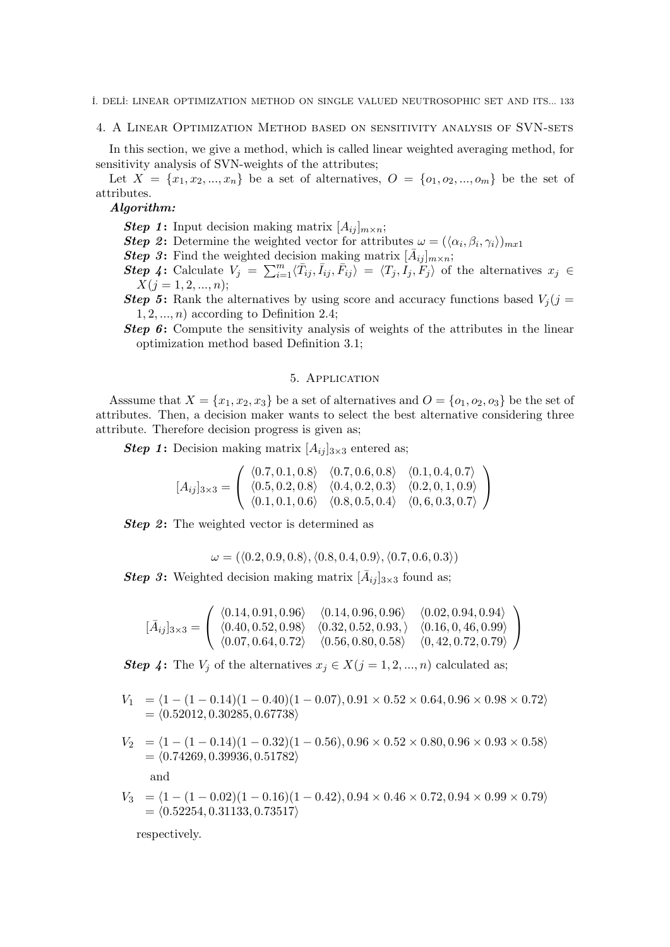4. A Linear Optimization Method based on sensitivity analysis of SVN-sets

In this section, we give a method, which is called linear weighted averaging method, for sensitivity analysis of SVN-weights of the attributes;

Let  $X = \{x_1, x_2, ..., x_n\}$  be a set of alternatives,  $O = \{o_1, o_2, ..., o_m\}$  be the set of attributes.

### Algorithm:

**Step 1:** Input decision making matrix  $[A_{ij}]_{m \times n}$ ;

- **Step 2:** Determine the weighted vector for attributes  $\omega = (\langle \alpha_i, \beta_i, \gamma_i \rangle)_{m x}$
- **Step 3:** Find the weighted decision making matrix  $[\bar{A}_{ij}]_{m \times n}$ ;

**Step 4:** Calculate  $V_j = \sum_{i=1}^m \langle \bar{T}_{ij}, \bar{I}_{ij}, \bar{F}_{ij} \rangle = \langle T_j, \bar{I}_j, \bar{F}_j \rangle$  of the alternatives  $x_j \in$  $X(j = 1, 2, ..., n);$ 

- **Step 5:** Rank the alternatives by using score and accuracy functions based  $V_j$  (j =  $1, 2, \ldots, n$  according to Definition 2.4;
- Step 6: Compute the sensitivity analysis of weights of the attributes in the linear optimization method based Definition 3.1;

#### 5. Application

Asssume that  $X = \{x_1, x_2, x_3\}$  be a set of alternatives and  $O = \{o_1, o_2, o_3\}$  be the set of attributes. Then, a decision maker wants to select the best alternative considering three attribute. Therefore decision progress is given as;

**Step 1:** Decision making matrix  $[A_{ii}]_{3\times 3}$  entered as;

$$
[A_{ij}]_{3\times 3} = \left( \begin{array}{ccc} \langle 0.7, 0.1, 0.8 \rangle & \langle 0.7, 0.6, 0.8 \rangle & \langle 0.1, 0.4, 0.7 \rangle \\ \langle 0.5, 0.2, 0.8 \rangle & \langle 0.4, 0.2, 0.3 \rangle & \langle 0.2, 0, 1, 0.9 \rangle \\ \langle 0.1, 0.1, 0.6 \rangle & \langle 0.8, 0.5, 0.4 \rangle & \langle 0, 6, 0.3, 0.7 \rangle \end{array} \right)
$$

**Step 2:** The weighted vector is determined as

$$
\omega = (\langle 0.2, 0.9, 0.8 \rangle, \langle 0.8, 0.4, 0.9 \rangle, \langle 0.7, 0.6, 0.3 \rangle)
$$

**Step 3:** Weighted decision making matrix  $[\bar{A}_{ij}]_{3\times 3}$  found as;

$$
[\bar{A}_{ij}]_{3\times 3} = \left(\begin{array}{ccc} \langle 0.14, 0.91, 0.96 \rangle & \langle 0.14, 0.96, 0.96 \rangle & \langle 0.02, 0.94, 0.94 \rangle \\ \langle 0.40, 0.52, 0.98 \rangle & \langle 0.32, 0.52, 0.93, \rangle & \langle 0.16, 0, 46, 0.99 \rangle \\ \langle 0.07, 0.64, 0.72 \rangle & \langle 0.56, 0.80, 0.58 \rangle & \langle 0, 42, 0.72, 0.79 \rangle \end{array}\right)
$$

**Step 4:** The  $V_j$  of the alternatives  $x_j \in X(j = 1, 2, ..., n)$  calculated as;

- $V_1 = \langle 1 (1 0.14)(1 0.40)(1 0.07), 0.91 \times 0.52 \times 0.64, 0.96 \times 0.98 \times 0.72 \rangle$  $= \langle 0.52012, 0.30285, 0.67738 \rangle$
- $V_2 = \langle 1 (1 0.14)(1 0.32)(1 0.56), 0.96 \times 0.52 \times 0.80, 0.96 \times 0.93 \times 0.58 \rangle$  $= \langle 0.74269, 0.39936, 0.51782 \rangle$ and  $V_3 = (1 - (1 - 0.02)(1 - 0.16)(1 - 0.42), 0.94 \times 0.46 \times 0.72, 0.94 \times 0.99 \times 0.79)$  $= \langle 0.52254, 0.31133, 0.73517 \rangle$

respectively.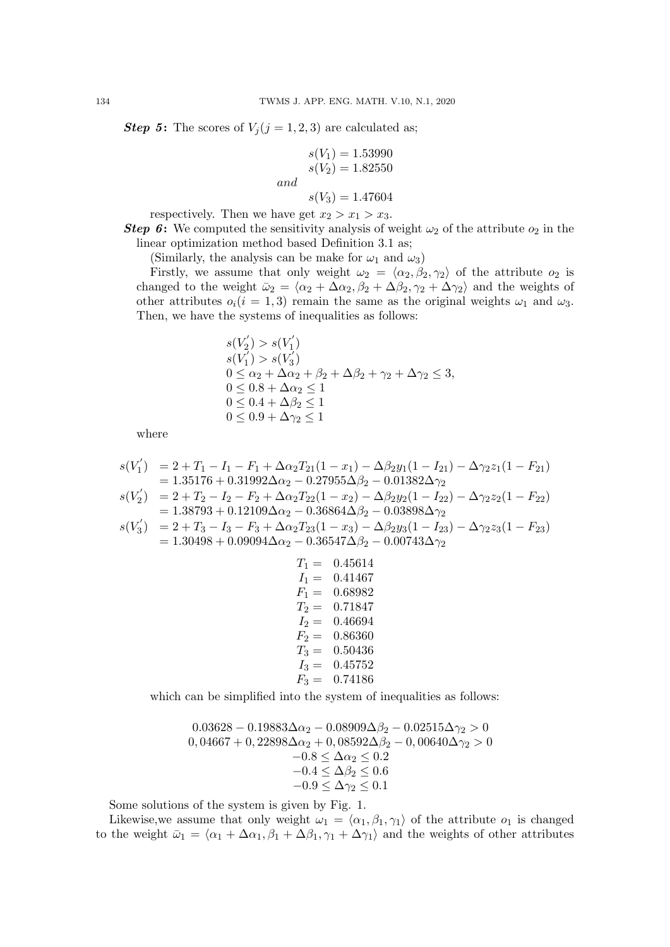**Step 5:** The scores of  $V_j (j = 1, 2, 3)$  are calculated as;

$$
s(V_1) = 1.53990
$$
  
\n
$$
s(V_2) = 1.82550
$$
  
\nand  
\n
$$
s(V_3) = 1.47604
$$

respectively. Then we have get  $x_2 > x_1 > x_3$ .

**Step 6:** We computed the sensitivity analysis of weight  $\omega_2$  of the attribute  $o_2$  in the linear optimization method based Definition 3.1 as;

(Similarly, the analysis can be make for  $\omega_1$  and  $\omega_3$ )

Firstly, we assume that only weight  $\omega_2 = \langle \alpha_2, \beta_2, \gamma_2 \rangle$  of the attribute  $o_2$  is changed to the weight  $\bar{\omega}_2 = \langle \alpha_2 + \Delta \alpha_2, \beta_2 + \Delta \beta_2, \gamma_2 + \Delta \gamma_2 \rangle$  and the weights of other attributes  $o_i(i = 1, 3)$  remain the same as the original weights  $\omega_1$  and  $\omega_3$ . Then, we have the systems of inequalities as follows:

$$
s(V'_2) > s(V'_1) s(V'_1) > s(V'_3) 0 \le \alpha_2 + \Delta\alpha_2 + \beta_2 + \Delta\beta_2 + \gamma_2 + \Delta\gamma_2 \le 3, 0 \le 0.8 + \Delta\alpha_2 \le 1 0 \le 0.4 + \Delta\beta_2 \le 1 0 \le 0.9 + \Delta\gamma_2 \le 1
$$

where

$$
s(V'_1) = 2 + T_1 - I_1 - F_1 + \Delta\alpha_2 T_{21}(1 - x_1) - \Delta\beta_2 y_1(1 - I_{21}) - \Delta\gamma_2 z_1(1 - F_{21})
$$
  
= 1.35176 + 0.31992\Delta\alpha\_2 - 0.27955\Delta\beta\_2 - 0.01382\Delta\gamma\_2  

$$
s(V'_2) = 2 + T_2 - I_2 - F_2 + \Delta\alpha_2 T_{22}(1 - x_2) - \Delta\beta_2 y_2(1 - I_{22}) - \Delta\gamma_2 z_2(1 - F_{22})
$$
  
= 1.38793 + 0.12109\Delta\alpha\_2 - 0.36864\Delta\beta\_2 - 0.03898\Delta\gamma\_2  

$$
s(V'_3) = 2 + T_3 - I_3 - F_3 + \Delta\alpha_2 T_{23}(1 - x_3) - \Delta\beta_2 y_3(1 - I_{23}) - \Delta\gamma_2 z_3(1 - F_{23})
$$
  
= 1.30498 + 0.09094\Delta\alpha\_2 - 0.36547\Delta\beta\_2 - 0.00743\Delta\gamma\_2

$$
T_1 = 0.45614
$$
  
\n
$$
I_1 = 0.41467
$$
  
\n
$$
F_1 = 0.68982
$$
  
\n
$$
T_2 = 0.71847
$$
  
\n
$$
I_2 = 0.46694
$$
  
\n
$$
F_2 = 0.86360
$$
  
\n
$$
T_3 = 0.50436
$$
  
\n
$$
I_3 = 0.45752
$$
  
\n
$$
F_3 = 0.74186
$$

which can be simplified into the system of inequalities as follows:

$$
0.03628 - 0.19883\Delta\alpha_2 - 0.08909\Delta\beta_2 - 0.02515\Delta\gamma_2 > 0
$$
  
\n
$$
0,04667 + 0,22898\Delta\alpha_2 + 0,08592\Delta\beta_2 - 0,00640\Delta\gamma_2 > 0
$$
  
\n
$$
-0.8 \le \Delta\alpha_2 \le 0.2
$$
  
\n
$$
-0.4 \le \Delta\beta_2 \le 0.6
$$
  
\n
$$
-0.9 \le \Delta\gamma_2 \le 0.1
$$

Some solutions of the system is given by Fig. 1.

Likewise, we assume that only weight  $\omega_1 = \langle \alpha_1, \beta_1, \gamma_1 \rangle$  of the attribute  $o_1$  is changed to the weight  $\bar{\omega}_1 = \langle \alpha_1 + \Delta \alpha_1, \beta_1 + \Delta \beta_1, \gamma_1 + \Delta \gamma_1 \rangle$  and the weights of other attributes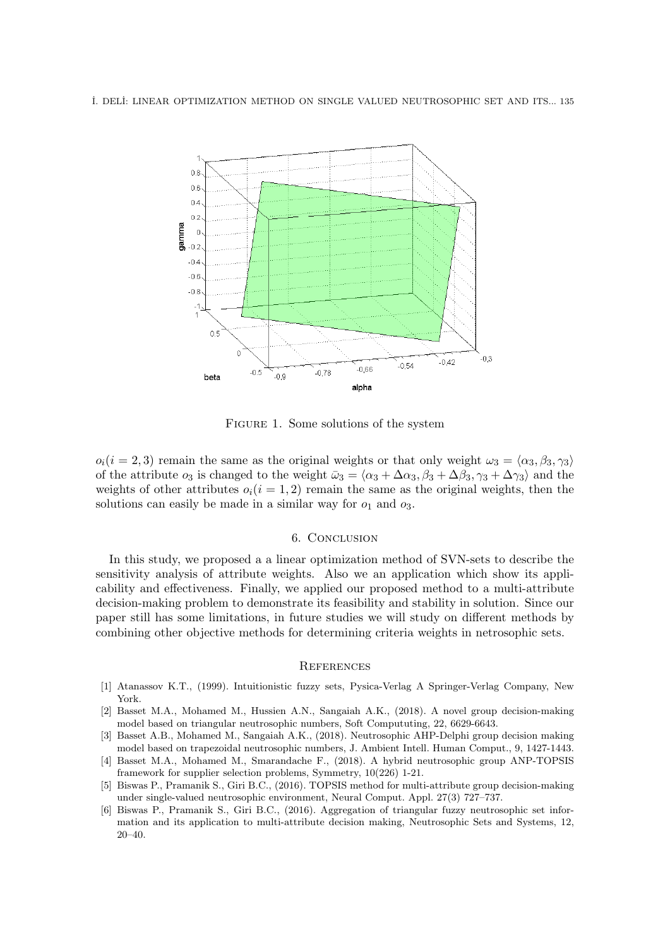˙I. DEL˙I: LINEAR OPTIMIZATION METHOD ON SINGLE VALUED NEUTROSOPHIC SET AND ITS... 135



Figure 1. Some solutions of the system

 $o_i(i = 2, 3)$  remain the same as the original weights or that only weight  $\omega_3 = \langle \alpha_3, \beta_3, \gamma_3 \rangle$ of the attribute  $o_3$  is changed to the weight  $\bar{\omega}_3 = \langle \alpha_3 + \Delta \alpha_3, \beta_3 + \Delta \beta_3, \gamma_3 + \Delta \gamma_3 \rangle$  and the weights of other attributes  $o_i(i = 1, 2)$  remain the same as the original weights, then the solutions can easily be made in a similar way for  $o_1$  and  $o_3$ .

### 6. Conclusion

In this study, we proposed a a linear optimization method of SVN-sets to describe the sensitivity analysis of attribute weights. Also we an application which show its applicability and effectiveness. Finally, we applied our proposed method to a multi-attribute decision-making problem to demonstrate its feasibility and stability in solution. Since our paper still has some limitations, in future studies we will study on different methods by combining other objective methods for determining criteria weights in netrosophic sets.

#### **REFERENCES**

- [1] Atanassov K.T., (1999). Intuitionistic fuzzy sets, Pysica-Verlag A Springer-Verlag Company, New York.
- [2] Basset M.A., Mohamed M., Hussien A.N., Sangaiah A.K., (2018). A novel group decision-making model based on triangular neutrosophic numbers, Soft Compututing, 22, 6629-6643.
- [3] Basset A.B., Mohamed M., Sangaiah A.K., (2018). Neutrosophic AHP-Delphi group decision making model based on trapezoidal neutrosophic numbers, J. Ambient Intell. Human Comput., 9, 1427-1443. [4] Basset M.A., Mohamed M., Smarandache F., (2018). A hybrid neutrosophic group ANP-TOPSIS
- framework for supplier selection problems, Symmetry, 10(226) 1-21.
- [5] Biswas P., Pramanik S., Giri B.C., (2016). TOPSIS method for multi-attribute group decision-making under single-valued neutrosophic environment, Neural Comput. Appl. 27(3) 727–737.
- [6] Biswas P., Pramanik S., Giri B.C., (2016). Aggregation of triangular fuzzy neutrosophic set information and its application to multi-attribute decision making, Neutrosophic Sets and Systems, 12, 20–40.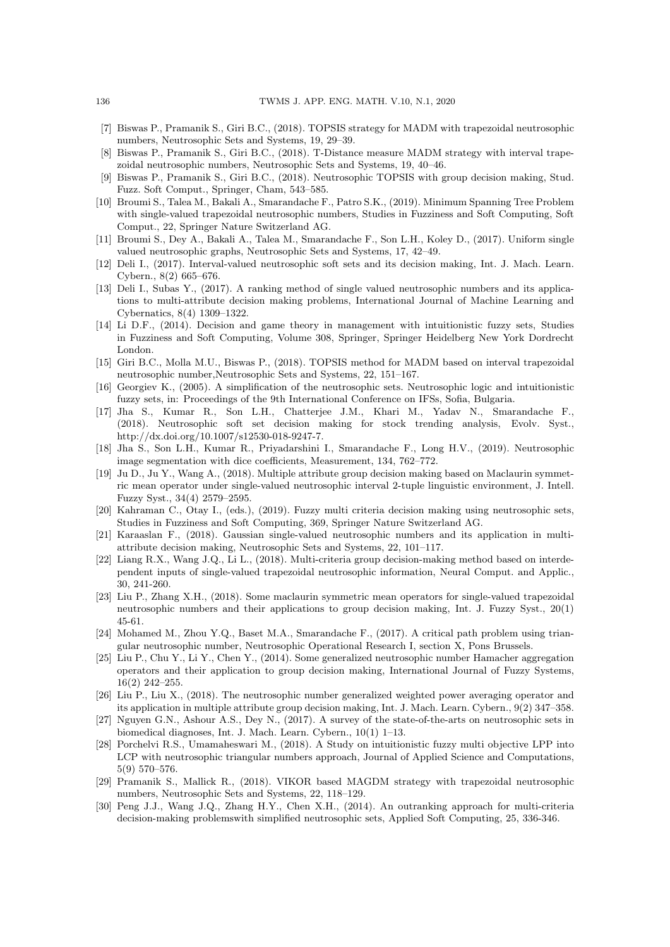- [7] Biswas P., Pramanik S., Giri B.C., (2018). TOPSIS strategy for MADM with trapezoidal neutrosophic numbers, Neutrosophic Sets and Systems, 19, 29–39.
- [8] Biswas P., Pramanik S., Giri B.C., (2018). T-Distance measure MADM strategy with interval trapezoidal neutrosophic numbers, Neutrosophic Sets and Systems, 19, 40–46.
- [9] Biswas P., Pramanik S., Giri B.C., (2018). Neutrosophic TOPSIS with group decision making, Stud. Fuzz. Soft Comput., Springer, Cham, 543–585.
- [10] Broumi S., Talea M., Bakali A., Smarandache F., Patro S.K., (2019). Minimum Spanning Tree Problem with single-valued trapezoidal neutrosophic numbers, Studies in Fuzziness and Soft Computing, Soft Comput., 22, Springer Nature Switzerland AG.
- [11] Broumi S., Dey A., Bakali A., Talea M., Smarandache F., Son L.H., Koley D., (2017). Uniform single valued neutrosophic graphs, Neutrosophic Sets and Systems, 17, 42–49.
- [12] Deli I., (2017). Interval-valued neutrosophic soft sets and its decision making, Int. J. Mach. Learn. Cybern., 8(2) 665–676.
- [13] Deli I., Subas Y., (2017). A ranking method of single valued neutrosophic numbers and its applications to multi-attribute decision making problems, International Journal of Machine Learning and Cybernatics, 8(4) 1309–1322.
- [14] Li D.F., (2014). Decision and game theory in management with intuitionistic fuzzy sets, Studies in Fuzziness and Soft Computing, Volume 308, Springer, Springer Heidelberg New York Dordrecht London.
- [15] Giri B.C., Molla M.U., Biswas P., (2018). TOPSIS method for MADM based on interval trapezoidal neutrosophic number,Neutrosophic Sets and Systems, 22, 151–167.
- [16] Georgiev K., (2005). A simplification of the neutrosophic sets. Neutrosophic logic and intuitionistic fuzzy sets, in: Proceedings of the 9th International Conference on IFSs, Sofia, Bulgaria.
- [17] Jha S., Kumar R., Son L.H., Chatterjee J.M., Khari M., Yadav N., Smarandache F., (2018). Neutrosophic soft set decision making for stock trending analysis, Evolv. Syst., http://dx.doi.org/10.1007/s12530-018-9247-7.
- [18] Jha S., Son L.H., Kumar R., Priyadarshini I., Smarandache F., Long H.V., (2019). Neutrosophic image segmentation with dice coefficients, Measurement, 134, 762–772.
- [19] Ju D., Ju Y., Wang A., (2018). Multiple attribute group decision making based on Maclaurin symmetric mean operator under single-valued neutrosophic interval 2-tuple linguistic environment, J. Intell. Fuzzy Syst., 34(4) 2579–2595.
- [20] Kahraman C., Otay I., (eds.), (2019). Fuzzy multi criteria decision making using neutrosophic sets, Studies in Fuzziness and Soft Computing, 369, Springer Nature Switzerland AG.
- [21] Karaaslan F., (2018). Gaussian single-valued neutrosophic numbers and its application in multiattribute decision making, Neutrosophic Sets and Systems, 22, 101–117.
- [22] Liang R.X., Wang J.Q., Li L., (2018). Multi-criteria group decision-making method based on interdependent inputs of single-valued trapezoidal neutrosophic information, Neural Comput. and Applic., 30, 241-260.
- [23] Liu P., Zhang X.H., (2018). Some maclaurin symmetric mean operators for single-valued trapezoidal neutrosophic numbers and their applications to group decision making, Int. J. Fuzzy Syst., 20(1) 45-61.
- [24] Mohamed M., Zhou Y.Q., Baset M.A., Smarandache F., (2017). A critical path problem using triangular neutrosophic number, Neutrosophic Operational Research I, section X, Pons Brussels.
- [25] Liu P., Chu Y., Li Y., Chen Y., (2014). Some generalized neutrosophic number Hamacher aggregation operators and their application to group decision making, International Journal of Fuzzy Systems, 16(2) 242–255.
- [26] Liu P., Liu X., (2018). The neutrosophic number generalized weighted power averaging operator and its application in multiple attribute group decision making, Int. J. Mach. Learn. Cybern., 9(2) 347–358.
- [27] Nguyen G.N., Ashour A.S., Dey N., (2017). A survey of the state-of-the-arts on neutrosophic sets in biomedical diagnoses, Int. J. Mach. Learn. Cybern., 10(1) 1–13.
- [28] Porchelvi R.S., Umamaheswari M., (2018). A Study on intuitionistic fuzzy multi objective LPP into LCP with neutrosophic triangular numbers approach, Journal of Applied Science and Computations, 5(9) 570–576.
- [29] Pramanik S., Mallick R., (2018). VIKOR based MAGDM strategy with trapezoidal neutrosophic numbers, Neutrosophic Sets and Systems, 22, 118–129.
- [30] Peng J.J., Wang J.Q., Zhang H.Y., Chen X.H., (2014). An outranking approach for multi-criteria decision-making problemswith simplified neutrosophic sets, Applied Soft Computing, 25, 336-346.